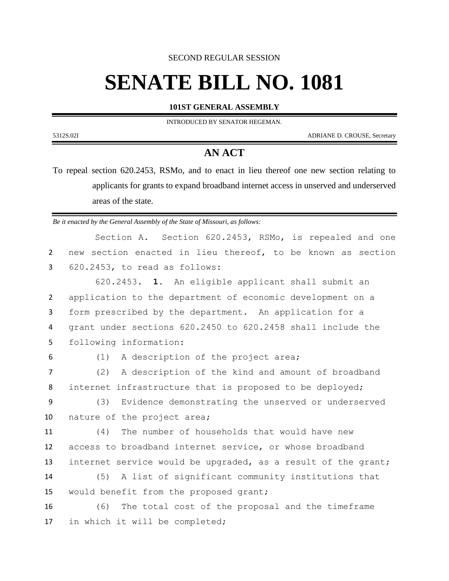SECOND REGULAR SESSION

## **SENATE BILL NO. 1081**

## **101ST GENERAL ASSEMBLY**

INTRODUCED BY SENATOR HEGEMAN.

5312S.02I ADRIANE D. CROUSE, Secretary

## **AN ACT**

To repeal section 620.2453, RSMo, and to enact in lieu thereof one new section relating to applicants for grants to expand broadband internet access in unserved and underserved areas of the state.

*Be it enacted by the General Assembly of the State of Missouri, as follows:*

|  | Section A. Section 620.2453, RSMo, is repealed and one        |  |  |  |  |  |  |
|--|---------------------------------------------------------------|--|--|--|--|--|--|
|  | 2 new section enacted in lieu thereof, to be known as section |  |  |  |  |  |  |
|  | $3$ $620.2453$ , to read as follows:                          |  |  |  |  |  |  |

 620.2453. **1.** An eligible applicant shall submit an application to the department of economic development on a form prescribed by the department. An application for a grant under sections 620.2450 to 620.2458 shall include the following information:

(1) A description of the project area;

 (2) A description of the kind and amount of broadband internet infrastructure that is proposed to be deployed;

 (3) Evidence demonstrating the unserved or underserved nature of the project area;

 (4) The number of households that would have new access to broadband internet service, or whose broadband internet service would be upgraded, as a result of the grant;

 (5) A list of significant community institutions that would benefit from the proposed grant;

 (6) The total cost of the proposal and the timeframe in which it will be completed;